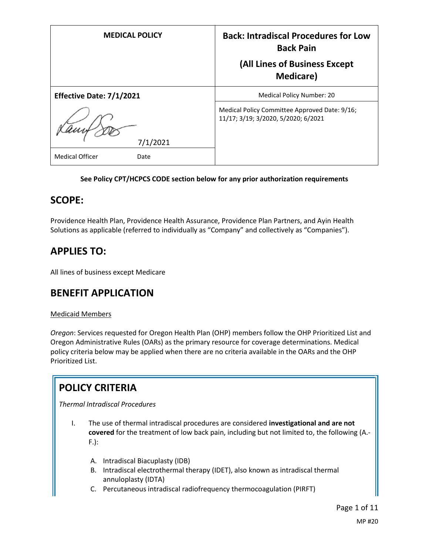| <b>MEDICAL POLICY</b>          | <b>Back: Intradiscal Procedures for Low</b><br><b>Back Pain</b>                      |
|--------------------------------|--------------------------------------------------------------------------------------|
|                                | (All Lines of Business Except<br><b>Medicare</b> )                                   |
| Effective Date: 7/1/2021       | Medical Policy Number: 20                                                            |
| 7/1/2021                       | Medical Policy Committee Approved Date: 9/16;<br>11/17; 3/19; 3/2020, 5/2020; 6/2021 |
| <b>Medical Officer</b><br>Date |                                                                                      |

## **See Policy CPT/HCPCS CODE section below for any prior authorization requirements**

# **SCOPE:**

Providence Health Plan, Providence Health Assurance, Providence Plan Partners, and Ayin Health Solutions as applicable (referred to individually as "Company" and collectively as "Companies").

# **APPLIES TO:**

All lines of business except Medicare

# **BENEFIT APPLICATION**

## Medicaid Members

*Oregon*: Services requested for Oregon Health Plan (OHP) members follow the OHP Prioritized List and Oregon Administrative Rules (OARs) as the primary resource for coverage determinations. Medical policy criteria below may be applied when there are no criteria available in the OARs and the OHP Prioritized List.

# **POLICY CRITERIA**

*Thermal Intradiscal Procedures*

- I. The use of thermal intradiscal procedures are considered **investigational and are not covered** for the treatment of low back pain, including but not limited to, the following (A.- F.):
	- A. Intradiscal Biacuplasty (IDB)
	- B. Intradiscal electrothermal therapy (IDET), also known as intradiscal thermal annuloplasty (IDTA)
	- C. Percutaneous intradiscal radiofrequency thermocoagulation (PIRFT)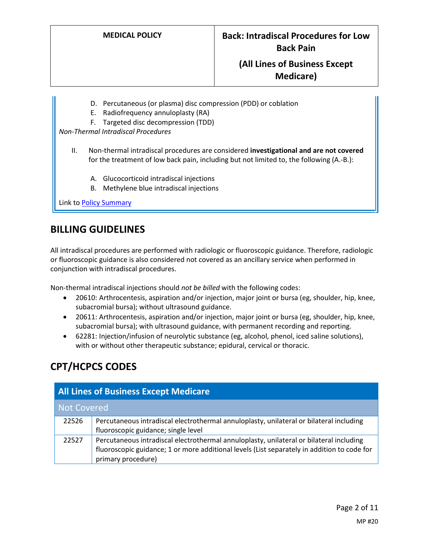- D. Percutaneous (or plasma) disc compression (PDD) or coblation
- E. Radiofrequency annuloplasty (RA)
- F. Targeted disc decompression (TDD)

*Non-Thermal Intradiscal Procedures*

- II. Non-thermal intradiscal procedures are considered **investigational and are not covered** for the treatment of low back pain, including but not limited to, the following (A.-B.):
	- A. Glucocorticoid intradiscal injections
	- B. Methylene blue intradiscal injections

Link t[o Policy Summary](#page-7-0)

# **BILLING GUIDELINES**

All intradiscal procedures are performed with radiologic or fluoroscopic guidance. Therefore, radiologic or fluoroscopic guidance is also considered not covered as an ancillary service when performed in conjunction with intradiscal procedures.

Non-thermal intradiscal injections should *not be billed* with the following codes:

- 20610: Arthrocentesis, aspiration and/or injection, major joint or bursa (eg, shoulder, hip, knee, subacromial bursa); without ultrasound guidance.
- 20611: Arthrocentesis, aspiration and/or injection, major joint or bursa (eg, shoulder, hip, knee, subacromial bursa); with ultrasound guidance, with permanent recording and reporting.
- 62281: Injection/infusion of neurolytic substance (eg, alcohol, phenol, iced saline solutions), with or without other therapeutic substance; epidural, cervical or thoracic.

# **CPT/HCPCS CODES**

| <b>All Lines of Business Except Medicare</b> |                                                                                                                                                                                                              |
|----------------------------------------------|--------------------------------------------------------------------------------------------------------------------------------------------------------------------------------------------------------------|
| Not Covered                                  |                                                                                                                                                                                                              |
| 22526                                        | Percutaneous intradiscal electrothermal annuloplasty, unilateral or bilateral including<br>fluoroscopic guidance; single level                                                                               |
| 22527                                        | Percutaneous intradiscal electrothermal annuloplasty, unilateral or bilateral including<br>fluoroscopic guidance; 1 or more additional levels (List separately in addition to code for<br>primary procedure) |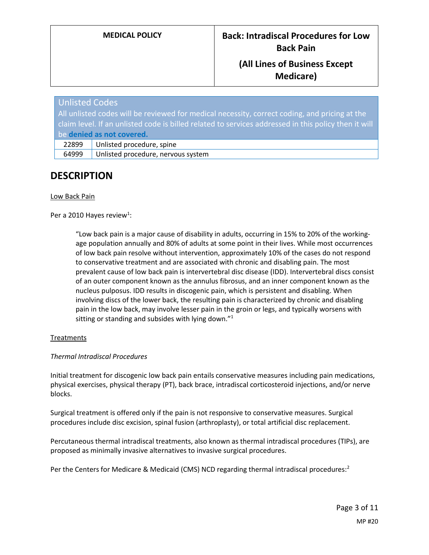| <b>Unlisted Codes</b>                                                                                |                                    |
|------------------------------------------------------------------------------------------------------|------------------------------------|
| All unlisted codes will be reviewed for medical necessity, correct coding, and pricing at the        |                                    |
| claim level. If an unlisted code is billed related to services addressed in this policy then it will |                                    |
| be denied as not covered.                                                                            |                                    |
| 22899                                                                                                | Unlisted procedure, spine          |
| 64999                                                                                                | Unlisted procedure, nervous system |

# **DESCRIPTION**

#### Low Back Pain

## Per a 2010 Hayes review<sup>1</sup>:

"Low back pain is a major cause of disability in adults, occurring in 15% to 20% of the workingage population annually and 80% of adults at some point in their lives. While most occurrences of low back pain resolve without intervention, approximately 10% of the cases do not respond to conservative treatment and are associated with chronic and disabling pain. The most prevalent cause of low back pain is intervertebral disc disease (IDD). Intervertebral discs consist of an outer component known as the annulus fibrosus, and an inner component known as the nucleus pulposus. IDD results in discogenic pain, which is persistent and disabling. When involving discs of the lower back, the resulting pain is characterized by chronic and disabling pain in the low back, may involve lesser pain in the groin or legs, and typically worsens with sitting or standing and subsides with lying down."<sup>1</sup>

## **Treatments**

#### *Thermal Intradiscal Procedures*

Initial treatment for discogenic low back pain entails conservative measures including pain medications, physical exercises, physical therapy (PT), back brace, intradiscal corticosteroid injections, and/or nerve blocks.

Surgical treatment is offered only if the pain is not responsive to conservative measures. Surgical procedures include disc excision, spinal fusion (arthroplasty), or total artificial disc replacement.

Percutaneous thermal intradiscal treatments, also known as thermal intradiscal procedures (TIPs), are proposed as minimally invasive alternatives to invasive surgical procedures.

Per the Centers for Medicare & Medicaid (CMS) NCD regarding thermal intradiscal procedures:<sup>2</sup>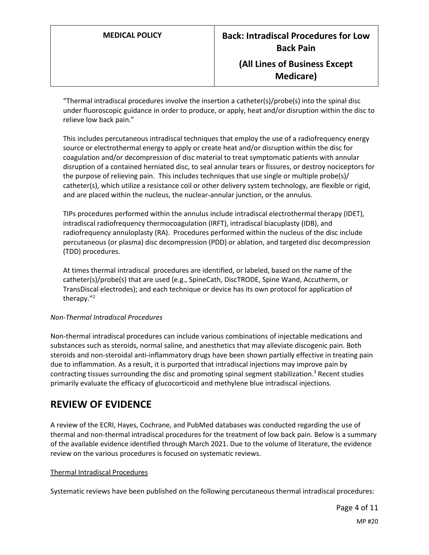"Thermal intradiscal procedures involve the insertion a catheter(s)/probe(s) into the spinal disc under fluoroscopic guidance in order to produce, or apply, heat and/or disruption within the disc to relieve low back pain."

This includes percutaneous intradiscal techniques that employ the use of a radiofrequency energy source or electrothermal energy to apply or create heat and/or disruption within the disc for coagulation and/or decompression of disc material to treat symptomatic patients with annular disruption of a contained herniated disc, to seal annular tears or fissures, or destroy nociceptors for the purpose of relieving pain. This includes techniques that use single or multiple probe(s)/ catheter(s), which utilize a resistance coil or other delivery system technology, are flexible or rigid, and are placed within the nucleus, the nuclear-annular junction, or the annulus.

TIPs procedures performed within the annulus include intradiscal electrothermal therapy (IDET), intradiscal radiofrequency thermocoagulation (IRFT), intradiscal biacuplasty (IDB), and radiofrequency annuloplasty (RA). Procedures performed within the nucleus of the disc include percutaneous (or plasma) disc decompression (PDD) or ablation, and targeted disc decompression (TDD) procedures.

At times thermal intradiscal procedures are identified, or labeled, based on the name of the catheter(s)/probe(s) that are used (e.g., SpineCath, DiscTRODE, Spine Wand, Accutherm, or TransDiscal electrodes); and each technique or device has its own protocol for application of therapy."<sup>2</sup>

## *Non-Thermal Intradiscal Procedures*

Non-thermal intradiscal procedures can include various combinations of injectable medications and substances such as steroids, normal saline, and anesthetics that may alleviate discogenic pain. Both steroids and non-steroidal anti-inflammatory drugs have been shown partially effective in treating pain due to inflammation. As a result, it is purported that intradiscal injections may improve pain by contracting tissues surrounding the disc and promoting spinal segment stabilization.<sup>3</sup> Recent studies primarily evaluate the efficacy of glucocorticoid and methylene blue intradiscal injections.

# **REVIEW OF EVIDENCE**

A review of the ECRI, Hayes, Cochrane, and PubMed databases was conducted regarding the use of thermal and non-thermal intradiscal procedures for the treatment of low back pain. Below is a summary of the available evidence identified through March 2021. Due to the volume of literature, the evidence review on the various procedures is focused on systematic reviews.

#### Thermal Intradiscal Procedures

Systematic reviews have been published on the following percutaneous thermal intradiscal procedures: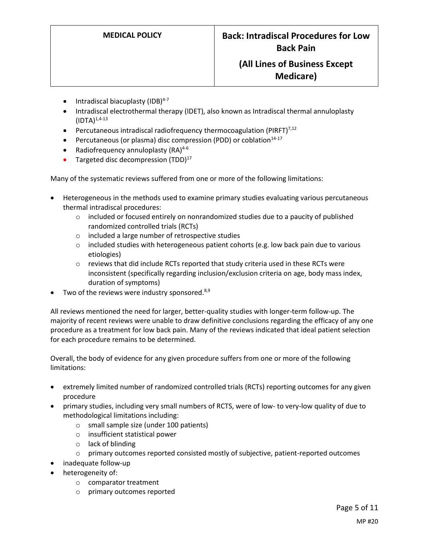- $\bullet$  Intradiscal biacuplasty (IDB)<sup>4-7</sup>
- Intradiscal electrothermal therapy (IDET), also known as Intradiscal thermal annuloplasty  $(IDTA)^{1,4-13}$
- **•** Percutaneous intradiscal radiofrequency thermocoagulation (PIRFT) $^{7,12}$
- **•** Percutaneous (or plasma) disc compression (PDD) or coblation<sup>14-17</sup>
- Radiofrequency annuloplasty (RA)<sup>4-6</sup>
- Targeted disc decompression  $(TDD)^{17}$

Many of the systematic reviews suffered from one or more of the following limitations:

- Heterogeneous in the methods used to examine primary studies evaluating various percutaneous thermal intradiscal procedures:
	- $\circ$  included or focused entirely on nonrandomized studies due to a paucity of published randomized controlled trials (RCTs)
	- o included a large number of retrospective studies
	- $\circ$  included studies with heterogeneous patient cohorts (e.g. low back pain due to various etiologies)
	- $\circ$  reviews that did include RCTs reported that study criteria used in these RCTs were inconsistent (specifically regarding inclusion/exclusion criteria on age, body mass index, duration of symptoms)
- Two of the reviews were industry sponsored. $8,9$

All reviews mentioned the need for larger, better-quality studies with longer-term follow-up. The majority of recent reviews were unable to draw definitive conclusions regarding the efficacy of any one procedure as a treatment for low back pain. Many of the reviews indicated that ideal patient selection for each procedure remains to be determined.

Overall, the body of evidence for any given procedure suffers from one or more of the following limitations:

- extremely limited number of randomized controlled trials (RCTs) reporting outcomes for any given procedure
- primary studies, including very small numbers of RCTS, were of low- to very-low quality of due to methodological limitations including:
	- o small sample size (under 100 patients)
	- o insufficient statistical power
	- o lack of blinding
	- o primary outcomes reported consisted mostly of subjective, patient-reported outcomes
- inadequate follow-up
- heterogeneity of:
	- o comparator treatment
	- o primary outcomes reported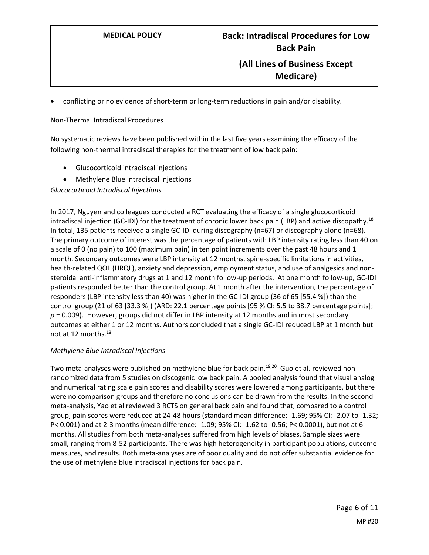conflicting or no evidence of short-term or long-term reductions in pain and/or disability.

#### Non-Thermal Intradiscal Procedures

No systematic reviews have been published within the last five years examining the efficacy of the following non-thermal intradiscal therapies for the treatment of low back pain:

- Glucocorticoid intradiscal injections
- Methylene Blue intradiscal injections

*Glucocorticoid Intradiscal Injections*

In 2017, Nguyen and colleagues conducted a RCT evaluating the efficacy of a single glucocorticoid intradiscal injection (GC-IDI) for the treatment of chronic lower back pain (LBP) and active discopathy.<sup>18</sup> In total, 135 patients received a single GC-IDI during discography (n=67) or discography alone (n=68). The primary outcome of interest was the percentage of patients with LBP intensity rating less than 40 on a scale of 0 (no pain) to 100 (maximum pain) in ten point increments over the past 48 hours and 1 month. Secondary outcomes were LBP intensity at 12 months, spine-specific limitations in activities, health-related QOL (HRQL), anxiety and depression, employment status, and use of analgesics and nonsteroidal anti-inflammatory drugs at 1 and 12 month follow-up periods. At one month follow-up, GC-IDI patients responded better than the control group. At 1 month after the intervention, the percentage of responders (LBP intensity less than 40) was higher in the GC-IDI group (36 of 65 [55.4 %]) than the control group (21 of 63 [33.3 %]) (ARD: 22.1 percentage points [95 % CI: 5.5 to 38.7 percentage points]; *p* = 0.009). However, groups did not differ in LBP intensity at 12 months and in most secondary outcomes at either 1 or 12 months. Authors concluded that a single GC-IDI reduced LBP at 1 month but not at 12 months.<sup>18</sup>

## *Methylene Blue Intradiscal Injections*

Two meta-analyses were published on methylene blue for back pain.<sup>19,20</sup> Guo et al. reviewed nonrandomized data from 5 studies on discogenic low back pain. A pooled analysis found that visual analog and numerical rating scale pain scores and disability scores were lowered among participants, but there were no comparison groups and therefore no conclusions can be drawn from the results. In the second meta-analysis, Yao et al reviewed 3 RCTS on general back pain and found that, compared to a control group, pain scores were reduced at 24-48 hours (standard mean difference: -1.69; 95% CI: -2.07 to -1.32; P< 0.001) and at 2-3 months (mean difference: -1.09; 95% CI: -1.62 to -0.56; P< 0.0001), but not at 6 months. All studies from both meta-analyses suffered from high levels of biases. Sample sizes were small, ranging from 8-52 participants. There was high heterogeneity in participant populations, outcome measures, and results. Both meta-analyses are of poor quality and do not offer substantial evidence for the use of methylene blue intradiscal injections for back pain.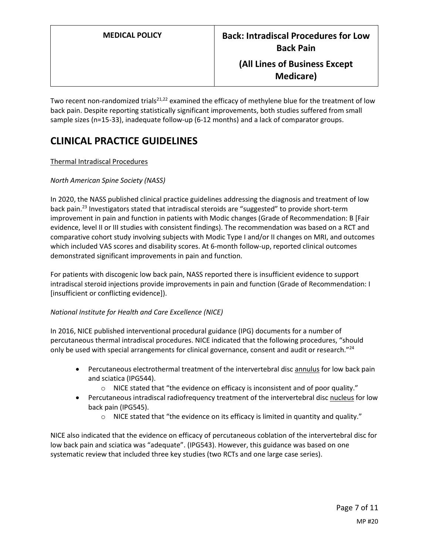Two recent non-randomized trials<sup>21,22</sup> examined the efficacy of methylene blue for the treatment of low back pain. Despite reporting statistically significant improvements, both studies suffered from small sample sizes (n=15-33), inadequate follow-up (6-12 months) and a lack of comparator groups.

# **CLINICAL PRACTICE GUIDELINES**

## Thermal Intradiscal Procedures

## *North American Spine Society (NASS)*

In 2020, the NASS published clinical practice guidelines addressing the diagnosis and treatment of low back pain.<sup>23</sup> Investigators stated that intradiscal steroids are "suggested" to provide short-term improvement in pain and function in patients with Modic changes (Grade of Recommendation: B [Fair evidence, level II or III studies with consistent findings). The recommendation was based on a RCT and comparative cohort study involving subjects with Modic Type I and/or II changes on MRI, and outcomes which included VAS scores and disability scores. At 6-month follow-up, reported clinical outcomes demonstrated significant improvements in pain and function.

For patients with discogenic low back pain, NASS reported there is insufficient evidence to support intradiscal steroid injections provide improvements in pain and function (Grade of Recommendation: I [insufficient or conflicting evidence]).

## *National Institute for Health and Care Excellence (NICE)*

In 2016, NICE published interventional procedural guidance (IPG) documents for a number of percutaneous thermal intradiscal procedures. NICE indicated that the following procedures, "should only be used with special arrangements for clinical governance, consent and audit or research."<sup>24</sup>

- Percutaneous electrothermal treatment of the intervertebral disc annulus for low back pain and sciatica (IPG544).
	- $\circ$  NICE stated that "the evidence on efficacy is inconsistent and of poor quality."
- Percutaneous intradiscal radiofrequency treatment of the intervertebral disc nucleus for low back pain (IPG545).
	- o NICE stated that "the evidence on its efficacy is limited in quantity and quality."

NICE also indicated that the evidence on efficacy of percutaneous coblation of the intervertebral disc for low back pain and sciatica was "adequate". (IPG543). However, this guidance was based on one systematic review that included three key studies (two RCTs and one large case series).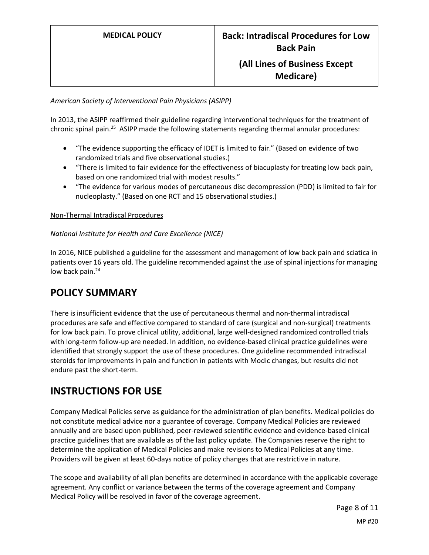### *American Society of Interventional Pain Physicians (ASIPP)*

In 2013, the ASIPP reaffirmed their guideline regarding interventional techniques for the treatment of chronic spinal pain.<sup>25</sup> ASIPP made the following statements regarding thermal annular procedures:

- "The evidence supporting the efficacy of IDET is limited to fair." (Based on evidence of two randomized trials and five observational studies.)
- "There is limited to fair evidence for the effectiveness of biacuplasty for treating low back pain, based on one randomized trial with modest results."
- "The evidence for various modes of percutaneous disc decompression (PDD) is limited to fair for nucleoplasty." (Based on one RCT and 15 observational studies.)

#### Non-Thermal Intradiscal Procedures

#### *National Institute for Health and Care Excellence (NICE)*

In 2016, NICE published a guideline for the assessment and management of low back pain and sciatica in patients over 16 years old. The guideline recommended against the use of spinal injections for managing low back pain.<sup>24</sup>

# <span id="page-7-0"></span>**POLICY SUMMARY**

There is insufficient evidence that the use of percutaneous thermal and non-thermal intradiscal procedures are safe and effective compared to standard of care (surgical and non-surgical) treatments for low back pain. To prove clinical utility, additional, large well-designed randomized controlled trials with long-term follow-up are needed. In addition, no evidence-based clinical practice guidelines were identified that strongly support the use of these procedures. One guideline recommended intradiscal steroids for improvements in pain and function in patients with Modic changes, but results did not endure past the short-term.

# **INSTRUCTIONS FOR USE**

Company Medical Policies serve as guidance for the administration of plan benefits. Medical policies do not constitute medical advice nor a guarantee of coverage. Company Medical Policies are reviewed annually and are based upon published, peer-reviewed scientific evidence and evidence-based clinical practice guidelines that are available as of the last policy update. The Companies reserve the right to determine the application of Medical Policies and make revisions to Medical Policies at any time. Providers will be given at least 60-days notice of policy changes that are restrictive in nature.

The scope and availability of all plan benefits are determined in accordance with the applicable coverage agreement. Any conflict or variance between the terms of the coverage agreement and Company Medical Policy will be resolved in favor of the coverage agreement.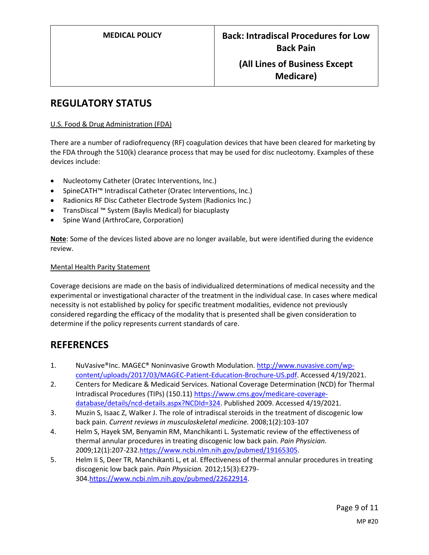# **REGULATORY STATUS**

#### U.S. Food & Drug Administration (FDA)

There are a number of radiofrequency (RF) coagulation devices that have been cleared for marketing by the FDA through the 510(k) clearance process that may be used for disc nucleotomy. Examples of these devices include:

- Nucleotomy Catheter (Oratec Interventions, Inc.)
- SpineCATH™ Intradiscal Catheter (Oratec Interventions, Inc.)
- Radionics RF Disc Catheter Electrode System (Radionics Inc.)
- TransDiscal ™ System (Baylis Medical) for biacuplasty
- Spine Wand (ArthroCare, Corporation)

**Note**: Some of the devices listed above are no longer available, but were identified during the evidence review.

### Mental Health Parity Statement

Coverage decisions are made on the basis of individualized determinations of medical necessity and the experimental or investigational character of the treatment in the individual case. In cases where medical necessity is not established by policy for specific treatment modalities, evidence not previously considered regarding the efficacy of the modality that is presented shall be given consideration to determine if the policy represents current standards of care.

# **REFERENCES**

- 1. NuVasive®Inc. MAGEC® Noninvasive Growth Modulation[. http://www.nuvasive.com/wp](http://www.nuvasive.com/wp-content/uploads/2017/03/MAGEC-Patient-Education-Brochure-US.pdf)[content/uploads/2017/03/MAGEC-Patient-Education-Brochure-US.pdf.](http://www.nuvasive.com/wp-content/uploads/2017/03/MAGEC-Patient-Education-Brochure-US.pdf) Accessed 4/19/2021.
- 2. Centers for Medicare & Medicaid Services. National Coverage Determination (NCD) for Thermal Intradiscal Procedures (TIPs) (150.11) [https://www.cms.gov/medicare-coverage](https://www.cms.gov/medicare-coverage-database/details/ncd-details.aspx?NCDId=324)[database/details/ncd-details.aspx?NCDId=324.](https://www.cms.gov/medicare-coverage-database/details/ncd-details.aspx?NCDId=324) Published 2009. Accessed 4/19/2021.
- 3. Muzin S, Isaac Z, Walker J. The role of intradiscal steroids in the treatment of discogenic low back pain. *Current reviews in musculoskeletal medicine.* 2008;1(2):103-107
- 4. Helm S, Hayek SM, Benyamin RM, Manchikanti L. Systematic review of the effectiveness of thermal annular procedures in treating discogenic low back pain. *Pain Physician.*  2009;12(1):207-232[.https://www.ncbi.nlm.nih.gov/pubmed/19165305.](https://www.ncbi.nlm.nih.gov/pubmed/19165305)
- 5. Helm Ii S, Deer TR, Manchikanti L, et al. Effectiveness of thermal annular procedures in treating discogenic low back pain. *Pain Physician.* 2012;15(3):E279- 304[.https://www.ncbi.nlm.nih.gov/pubmed/22622914.](https://www.ncbi.nlm.nih.gov/pubmed/22622914)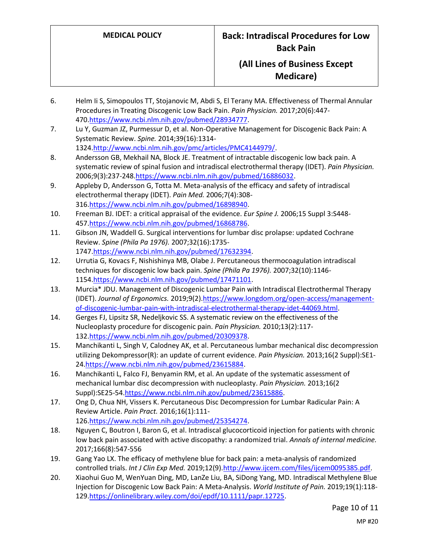- 6. Helm Ii S, Simopoulos TT, Stojanovic M, Abdi S, El Terany MA. Effectiveness of Thermal Annular Procedures in Treating Discogenic Low Back Pain. *Pain Physician.* 2017;20(6):447- 470[.https://www.ncbi.nlm.nih.gov/pubmed/28934777.](https://www.ncbi.nlm.nih.gov/pubmed/28934777)
- 7. Lu Y, Guzman JZ, Purmessur D, et al. Non-Operative Management for Discogenic Back Pain: A Systematic Review. *Spine.* 2014;39(16):1314- 1324[.http://www.ncbi.nlm.nih.gov/pmc/articles/PMC4144979/.](http://www.ncbi.nlm.nih.gov/pmc/articles/PMC4144979/)
- 8. Andersson GB, Mekhail NA, Block JE. Treatment of intractable discogenic low back pain. A systematic review of spinal fusion and intradiscal electrothermal therapy (IDET). *Pain Physician.*  2006;9(3):237-248[.https://www.ncbi.nlm.nih.gov/pubmed/16886032.](https://www.ncbi.nlm.nih.gov/pubmed/16886032)
- 9. Appleby D, Andersson G, Totta M. Meta-analysis of the efficacy and safety of intradiscal electrothermal therapy (IDET). *Pain Med.* 2006;7(4):308- 316[.https://www.ncbi.nlm.nih.gov/pubmed/16898940.](https://www.ncbi.nlm.nih.gov/pubmed/16898940)
- 10. Freeman BJ. IDET: a critical appraisal of the evidence. *Eur Spine J.* 2006;15 Suppl 3:S448- 457[.https://www.ncbi.nlm.nih.gov/pubmed/16868786.](https://www.ncbi.nlm.nih.gov/pubmed/16868786)
- 11. Gibson JN, Waddell G. Surgical interventions for lumbar disc prolapse: updated Cochrane Review. *Spine (Phila Pa 1976).* 2007;32(16):1735- 1747[.https://www.ncbi.nlm.nih.gov/pubmed/17632394.](https://www.ncbi.nlm.nih.gov/pubmed/17632394)
- 12. Urrutia G, Kovacs F, Nishishinya MB, Olabe J. Percutaneous thermocoagulation intradiscal techniques for discogenic low back pain. *Spine (Phila Pa 1976).* 2007;32(10):1146- 1154[.https://www.ncbi.nlm.nih.gov/pubmed/17471101.](https://www.ncbi.nlm.nih.gov/pubmed/17471101)
- 13. Murcia\* JDU. Management of Discogenic Lumbar Pain with Intradiscal Electrothermal Therapy (IDET). *Journal of Ergonomics.* 2019;9(2)[.https://www.longdom.org/open-access/management](https://www.longdom.org/open-access/management-of-discogenic-lumbar-pain-with-intradiscal-electrothermal-therapy-idet-44069.html)[of-discogenic-lumbar-pain-with-intradiscal-electrothermal-therapy-idet-44069.html.](https://www.longdom.org/open-access/management-of-discogenic-lumbar-pain-with-intradiscal-electrothermal-therapy-idet-44069.html)
- 14. Gerges FJ, Lipsitz SR, Nedeljkovic SS. A systematic review on the effectiveness of the Nucleoplasty procedure for discogenic pain. *Pain Physician.* 2010;13(2):117- 132[.https://www.ncbi.nlm.nih.gov/pubmed/20309378.](https://www.ncbi.nlm.nih.gov/pubmed/20309378)
- 15. Manchikanti L, Singh V, Calodney AK, et al. Percutaneous lumbar mechanical disc decompression utilizing Dekompressor(R): an update of current evidence. *Pain Physician.* 2013;16(2 Suppl):SE1- 24[.https://www.ncbi.nlm.nih.gov/pubmed/23615884.](https://www.ncbi.nlm.nih.gov/pubmed/23615884)
- 16. Manchikanti L, Falco FJ, Benyamin RM, et al. An update of the systematic assessment of mechanical lumbar disc decompression with nucleoplasty. *Pain Physician.* 2013;16(2 Suppl):SE25-54[.https://www.ncbi.nlm.nih.gov/pubmed/23615886.](https://www.ncbi.nlm.nih.gov/pubmed/23615886)
- 17. Ong D, Chua NH, Vissers K. Percutaneous Disc Decompression for Lumbar Radicular Pain: A Review Article. *Pain Pract.* 2016;16(1):111- 126[.https://www.ncbi.nlm.nih.gov/pubmed/25354274.](https://www.ncbi.nlm.nih.gov/pubmed/25354274)
- 18. Nguyen C, Boutron I, Baron G, et al. Intradiscal glucocorticoid injection for patients with chronic low back pain associated with active discopathy: a randomized trial. *Annals of internal medicine.*  2017;166(8):547-556
- 19. Gang Yao LX. The efficacy of methylene blue for back pain: a meta-analysis of randomized controlled trials. *Int J Clin Exp Med.* 2019;12(9)[.http://www.ijcem.com/files/ijcem0095385.pdf.](http://www.ijcem.com/files/ijcem0095385.pdf)
- 20. Xiaohui Guo M, WenYuan Ding, MD, LanZe Liu, BA, SiDong Yang, MD. Intradiscal Methylene Blue Injection for Discogenic Low Back Pain: A Meta-Analysis. *World Institute of Pain.* 2019;19(1):118- 129[.https://onlinelibrary.wiley.com/doi/epdf/10.1111/papr.12725.](https://onlinelibrary.wiley.com/doi/epdf/10.1111/papr.12725)